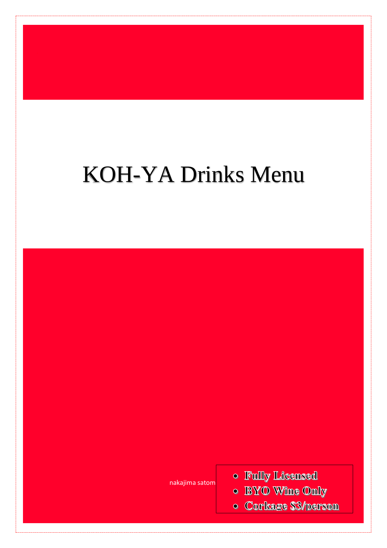# KOH-YA Drinks Menu

nakajima satomi

- o Fully Licensed
- BYO Wine Only
- **Corkage \$3/person**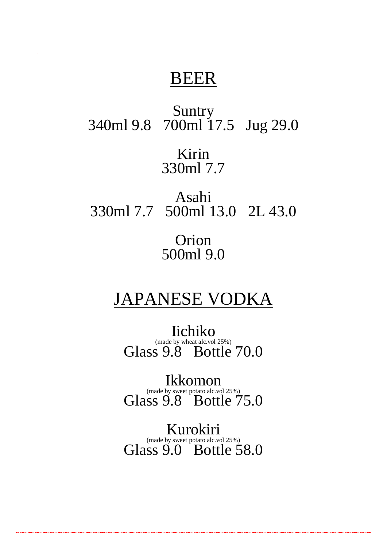### BEER

Suntry 340ml 9.8 700ml 17.5 Jug 29.0 Kirin 330ml 7.7

Asahi 330ml 7.7 500ml 13.0 2L 43.0

> Orion 500ml 9.0

### JAPANESE VODKA

Iichiko (made by wheat alc.vol 25%) Glass 9.8 Bottle 70.0

Ikkomon (made by sweet potato alc.vol 25%) Glass 9.8 Bottle 75.0

Kurokiri (made by sweet potato alc.vol 25%) Glass 9.0 Bottle 58.0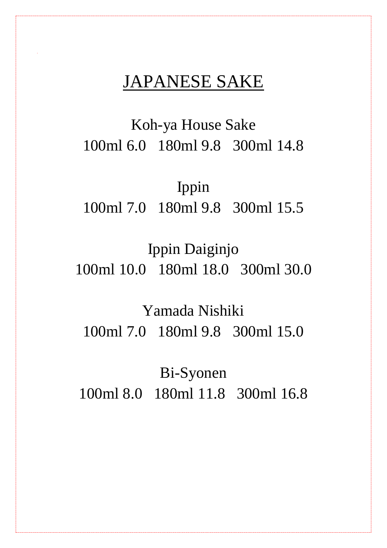### JAPANESE SAKE

Koh-ya House Sake 100ml 6.0 180ml 9.8 300ml 14.8

Ippin 100ml 7.0 180ml 9.8 300ml 15.5

Ippin Daiginjo 100ml 10.0 180ml 18.0 300ml 30.0

Yamada Nishiki 100ml 7.0 180ml 9.8 300ml 15.0

Bi-Syonen 100ml 8.0 180ml 11.8 300ml 16.8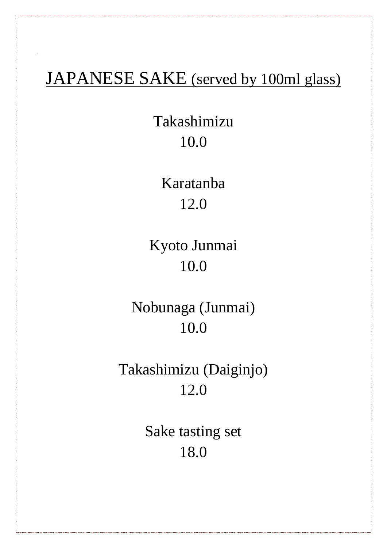### JAPANESE SAKE (served by 100ml glass)

Takashimizu 10.0

> Karatanba 12.0

Kyoto Junmai 10.0

Nobunaga (Junmai) 10.0

Takashimizu (Daiginjo) 12.0

> Sake tasting set 18.0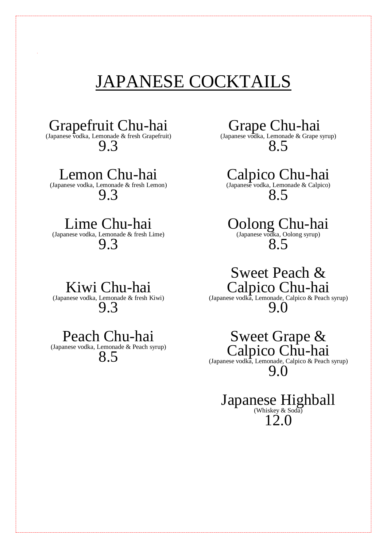## JAPANESE COCKTAILS

Grapefruit Chu-hai

(Japanese vodka, Lemonade & fresh Grapefruit)  $9.3$ 

Lemon Chu-hai

(Japanese vodka, Lemonade & fresh Lemon) 9.3

### Lime Chu-hai

(Japanese vodka, Lemonade & fresh Lime) 9.3

Kiwi Chu-hai (Japanese vodka, Lemonade & fresh Kiwi) 9.3

### Peach Chu-hai

(Japanese vodka, Lemonade & Peach syrup) 8.5

Grape Chu-hai (Japanese vodka, Lemonade & Grape syrup) 8.5

Calpico Chu-hai (Japanese vodka, Lemonade & Calpico) 8.5

Oolong Chu-hai (Japanese vodka, Oolong syrup) 8.5

Sweet Peach & Calpico Chu-hai (Japanese vodka, Lemonade, Calpico & Peach syrup) 9.0

Sweet Grape & Calpico Chu-hai

(Japanese vodka, Lemonade, Calpico & Peach syrup) 9.0

#### Japanese Highball (Whiskey & Soda) 12.0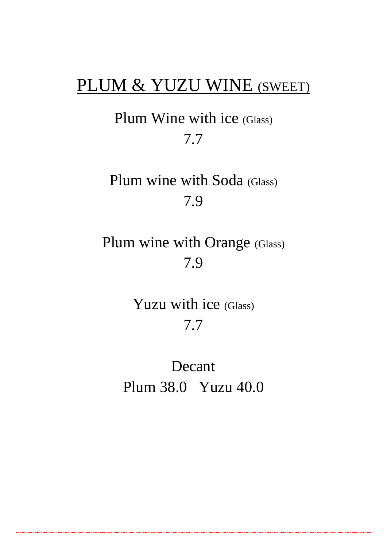### PLUM & YUZU WINE (SWEET)

Plum Wine with ice (Glass) 7.7

Plum wine with Soda (Glass) 7.9

Plum wine with Orange (Glass) 7.9

> Yuzu with ice (Glass) 7.7

Decant Plum 38.0 Yuzu 40.0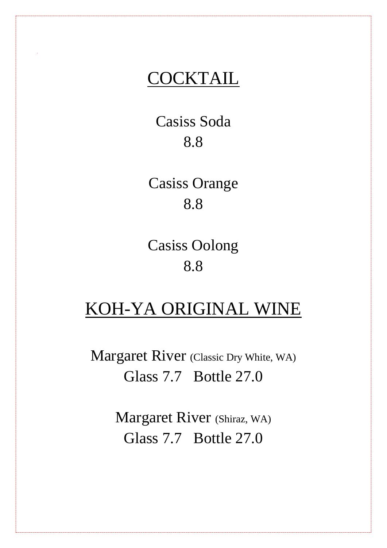### **COCKTAIL**

Casiss Soda 8.8

Casiss Orange 8.8

Casiss Oolong 8.8

### KOH-YA ORIGINAL WINE

Margaret River (Classic Dry White, WA) Glass 7.7 Bottle 27.0

> Margaret River (Shiraz, WA) Glass 7.7 Bottle 27.0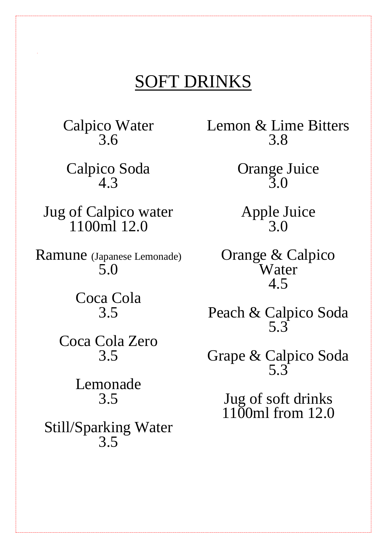### SOFT DRINKS

Calpico Water 3.6

Calpico Soda 4.3

Jug of Calpico water 1100ml 12.0

Ramune (Japanese Lemonade) 5.0

> Coca Cola 3.5

Coca Cola Zero 3.5

> Lemonade 3.5

Still/Sparking Water 3.5

Lemon & Lime Bitters 3.8

> Orange Juice 3.0

Apple Juice 3.0

Orange & Calpico Water 4.5

Peach & Calpico Soda 5.3

Grape & Calpico Soda 5.3

> Jug of soft drinks 1100ml from 12.0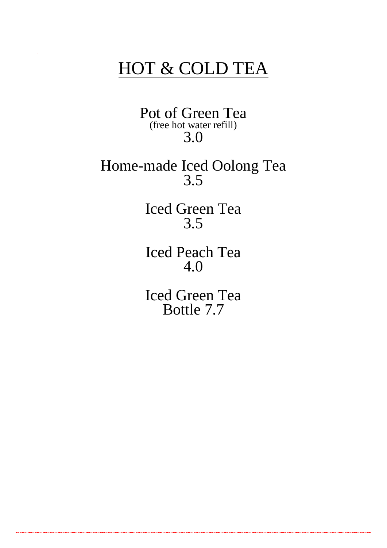### HOT & COLD TEA

Pot of Green Tea (free hot water refill) 3.0

Home-made Iced Oolong Tea 3.5

> Iced Green Tea 3.5

> Iced Peach Tea 4.0

> Iced Green Tea Bottle 7.7